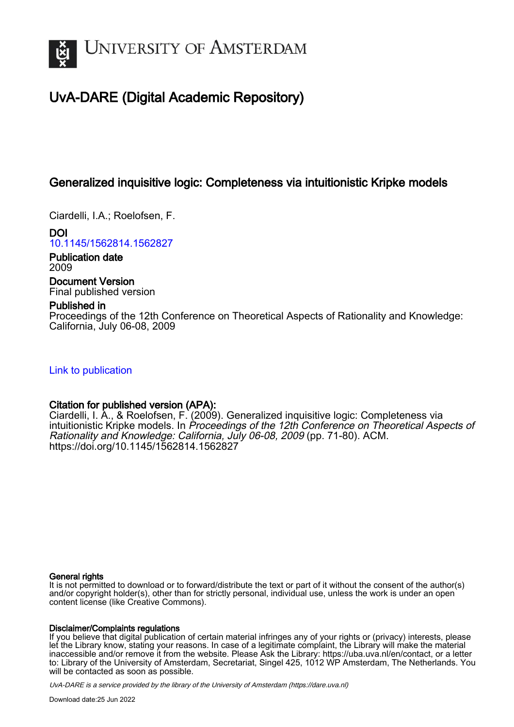

# UvA-DARE (Digital Academic Repository)

# Generalized inquisitive logic: Completeness via intuitionistic Kripke models

Ciardelli, I.A.; Roelofsen, F.

DOI [10.1145/1562814.1562827](https://doi.org/10.1145/1562814.1562827)

Publication date 2009

# Document Version

Final published version

## Published in

Proceedings of the 12th Conference on Theoretical Aspects of Rationality and Knowledge: California, July 06-08, 2009

# [Link to publication](https://dare.uva.nl/personal/pure/en/publications/generalized-inquisitive-logic-completeness-via-intuitionistic-kripke-models(3da4b27a-246e-4247-98b9-03ba1398984b).html)

# Citation for published version (APA):

Ciardelli, I. A., & Roelofsen, F. (2009). Generalized inquisitive logic: Completeness via intuitionistic Kripke models. In Proceedings of the 12th Conference on Theoretical Aspects of Rationality and Knowledge: California, July 06-08, 2009 (pp. 71-80). ACM. <https://doi.org/10.1145/1562814.1562827>

## General rights

It is not permitted to download or to forward/distribute the text or part of it without the consent of the author(s) and/or copyright holder(s), other than for strictly personal, individual use, unless the work is under an open content license (like Creative Commons).

## Disclaimer/Complaints regulations

If you believe that digital publication of certain material infringes any of your rights or (privacy) interests, please let the Library know, stating your reasons. In case of a legitimate complaint, the Library will make the material inaccessible and/or remove it from the website. Please Ask the Library: https://uba.uva.nl/en/contact, or a letter to: Library of the University of Amsterdam, Secretariat, Singel 425, 1012 WP Amsterdam, The Netherlands. You will be contacted as soon as possible.

UvA-DARE is a service provided by the library of the University of Amsterdam (http*s*://dare.uva.nl)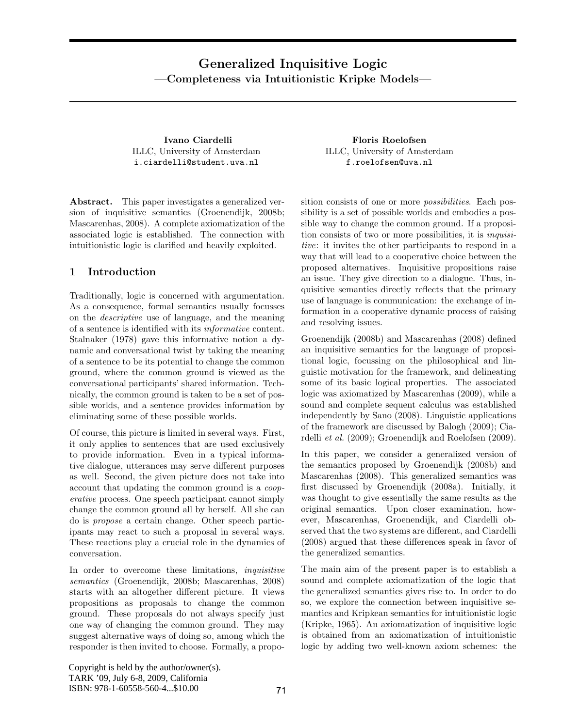Ivano Ciardelli ILLC, University of Amsterdam i.ciardelli@student.uva.nl

Abstract. This paper investigates a generalized version of inquisitive semantics (Groenendijk, 2008b; Mascarenhas, 2008). A complete axiomatization of the associated logic is established. The connection with intuitionistic logic is clarified and heavily exploited.

## 1 Introduction

Traditionally, logic is concerned with argumentation. As a consequence, formal semantics usually focusses on the descriptive use of language, and the meaning of a sentence is identified with its informative content. Stalnaker (1978) gave this informative notion a dynamic and conversational twist by taking the meaning of a sentence to be its potential to change the common ground, where the common ground is viewed as the conversational participants' shared information. Technically, the common ground is taken to be a set of possible worlds, and a sentence provides information by eliminating some of these possible worlds.

Of course, this picture is limited in several ways. First, it only applies to sentences that are used exclusively to provide information. Even in a typical informative dialogue, utterances may serve different purposes as well. Second, the given picture does not take into account that updating the common ground is a cooperative process. One speech participant cannot simply change the common ground all by herself. All she can do is propose a certain change. Other speech participants may react to such a proposal in several ways. These reactions play a crucial role in the dynamics of conversation.

In order to overcome these limitations, *inquisitive* semantics (Groenendijk, 2008b; Mascarenhas, 2008) starts with an altogether different picture. It views propositions as proposals to change the common ground. These proposals do not always specify just one way of changing the common ground. They may suggest alternative ways of doing so, among which the responder is then invited to choose. Formally, a propo-

Floris Roelofsen ILLC, University of Amsterdam f.roelofsen@uva.nl

sition consists of one or more possibilities. Each possibility is a set of possible worlds and embodies a possible way to change the common ground. If a proposition consists of two or more possibilities, it is inquisitive: it invites the other participants to respond in a way that will lead to a cooperative choice between the proposed alternatives. Inquisitive propositions raise an issue. They give direction to a dialogue. Thus, inquisitive semantics directly reflects that the primary use of language is communication: the exchange of information in a cooperative dynamic process of raising and resolving issues.

Groenendijk (2008b) and Mascarenhas (2008) defined an inquisitive semantics for the language of propositional logic, focussing on the philosophical and linguistic motivation for the framework, and delineating some of its basic logical properties. The associated logic was axiomatized by Mascarenhas (2009), while a sound and complete sequent calculus was established independently by Sano (2008). Linguistic applications of the framework are discussed by Balogh (2009); Ciardelli et al. (2009); Groenendijk and Roelofsen (2009).

In this paper, we consider a generalized version of the semantics proposed by Groenendijk (2008b) and Mascarenhas (2008). This generalized semantics was first discussed by Groenendijk (2008a). Initially, it was thought to give essentially the same results as the original semantics. Upon closer examination, however, Mascarenhas, Groenendijk, and Ciardelli observed that the two systems are different, and Ciardelli (2008) argued that these differences speak in favor of the generalized semantics.

The main aim of the present paper is to establish a sound and complete axiomatization of the logic that the generalized semantics gives rise to. In order to do so, we explore the connection between inquisitive semantics and Kripkean semantics for intuitionistic logic (Kripke, 1965). An axiomatization of inquisitive logic is obtained from an axiomatization of intuitionistic logic by adding two well-known axiom schemes: the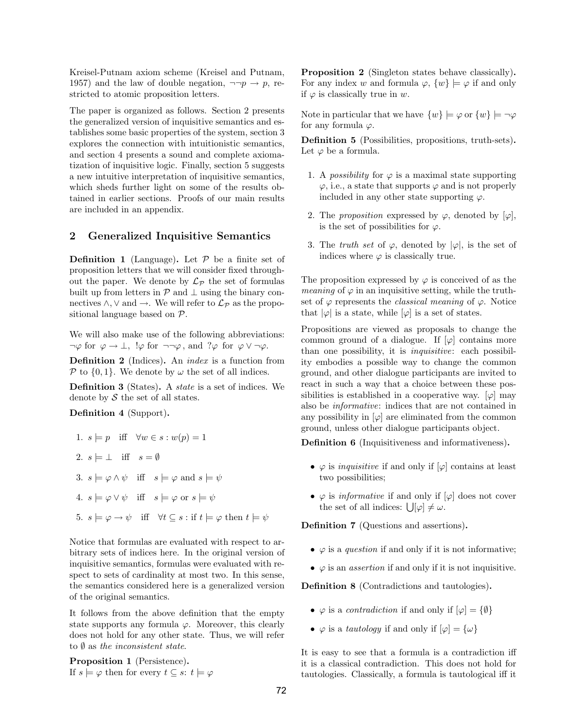Kreisel-Putnam axiom scheme (Kreisel and Putnam, 1957) and the law of double negation,  $\neg\neg p \rightarrow p$ , restricted to atomic proposition letters.

The paper is organized as follows. Section 2 presents the generalized version of inquisitive semantics and establishes some basic properties of the system, section 3 explores the connection with intuitionistic semantics, and section 4 presents a sound and complete axiomatization of inquisitive logic. Finally, section 5 suggests a new intuitive interpretation of inquisitive semantics, which sheds further light on some of the results obtained in earlier sections. Proofs of our main results are included in an appendix.

## 2 Generalized Inquisitive Semantics

**Definition 1** (Language). Let  $P$  be a finite set of proposition letters that we will consider fixed throughout the paper. We denote by  $\mathcal{L}_{\mathcal{P}}$  the set of formulas built up from letters in  $\mathcal P$  and  $\perp$  using the binary connectives  $\land$ ,  $\lor$  and  $\rightarrow$ . We will refer to  $\mathcal{L}_{\mathcal{P}}$  as the propositional language based on P.

We will also make use of the following abbreviations:  $\neg \varphi$  for  $\varphi \to \bot$ ,  $\psi$  for  $\neg \neg \varphi$ , and  $\psi \circ \varphi$  for  $\varphi \vee \neg \varphi$ .

Definition 2 (Indices). An index is a function from P to  $\{0, 1\}$ . We denote by  $\omega$  the set of all indices.

Definition 3 (States). A state is a set of indices. We denote by  $S$  the set of all states.

Definition 4 (Support).

1.  $s \models p$  iff  $\forall w \in s : w(p) = 1$ 2.  $s \models \bot$  iff  $s = \emptyset$ 3.  $s \models \varphi \land \psi$  iff  $s \models \varphi$  and  $s \models \psi$ 4.  $s \models \varphi \lor \psi$  iff  $s \models \varphi$  or  $s \models \psi$ 5.  $s \models \varphi \rightarrow \psi$  iff  $\forall t \subseteq s : \text{if } t \models \varphi \text{ then } t \models \psi$ 

Notice that formulas are evaluated with respect to arbitrary sets of indices here. In the original version of inquisitive semantics, formulas were evaluated with respect to sets of cardinality at most two. In this sense, the semantics considered here is a generalized version of the original semantics.

It follows from the above definition that the empty state supports any formula  $\varphi$ . Moreover, this clearly does not hold for any other state. Thus, we will refer to  $\emptyset$  as the inconsistent state.

Proposition 1 (Persistence). If  $s \models \varphi$  then for every  $t \subseteq s$ :  $t \models \varphi$  Proposition 2 (Singleton states behave classically). For any index w and formula  $\varphi$ ,  $\{w\} \models \varphi$  if and only if  $\varphi$  is classically true in w.

Note in particular that we have  $\{w\} \models \varphi$  or  $\{w\} \models \neg \varphi$ for any formula  $\varphi$ .

Definition 5 (Possibilities, propositions, truth-sets). Let  $\varphi$  be a formula.

- 1. A possibility for  $\varphi$  is a maximal state supporting  $\varphi$ , i.e., a state that supports  $\varphi$  and is not properly included in any other state supporting  $\varphi$ .
- 2. The proposition expressed by  $\varphi$ , denoted by  $[\varphi]$ , is the set of possibilities for  $\varphi$ .
- 3. The truth set of  $\varphi$ , denoted by  $|\varphi|$ , is the set of indices where  $\varphi$  is classically true.

The proposition expressed by  $\varphi$  is conceived of as the *meaning* of  $\varphi$  in an inquisitive setting, while the truthset of  $\varphi$  represents the *classical meaning* of  $\varphi$ . Notice that  $|\varphi|$  is a state, while  $|\varphi|$  is a set of states.

Propositions are viewed as proposals to change the common ground of a dialogue. If  $[\varphi]$  contains more than one possibility, it is inquisitive: each possibility embodies a possible way to change the common ground, and other dialogue participants are invited to react in such a way that a choice between these possibilities is established in a cooperative way.  $[\varphi]$  may also be informative: indices that are not contained in any possibility in  $[\varphi]$  are eliminated from the common ground, unless other dialogue participants object.

Definition 6 (Inquisitiveness and informativeness).

- $\varphi$  is *inquisitive* if and only if  $[\varphi]$  contains at least two possibilities;
- $\varphi$  is *informative* if and only if  $[\varphi]$  does not cover the set of all indices:  $\bigcup [\varphi] \neq \omega$ .

Definition 7 (Questions and assertions).

- $\varphi$  is a *question* if and only if it is not informative;
- $\varphi$  is an *assertion* if and only if it is not inquisitive.

Definition 8 (Contradictions and tautologies).

- $\varphi$  is a *contradiction* if and only if  $[\varphi] = {\varnothing}$
- $\varphi$  is a tautology if and only if  $[\varphi] = {\varphi}$

It is easy to see that a formula is a contradiction iff it is a classical contradiction. This does not hold for tautologies. Classically, a formula is tautological iff it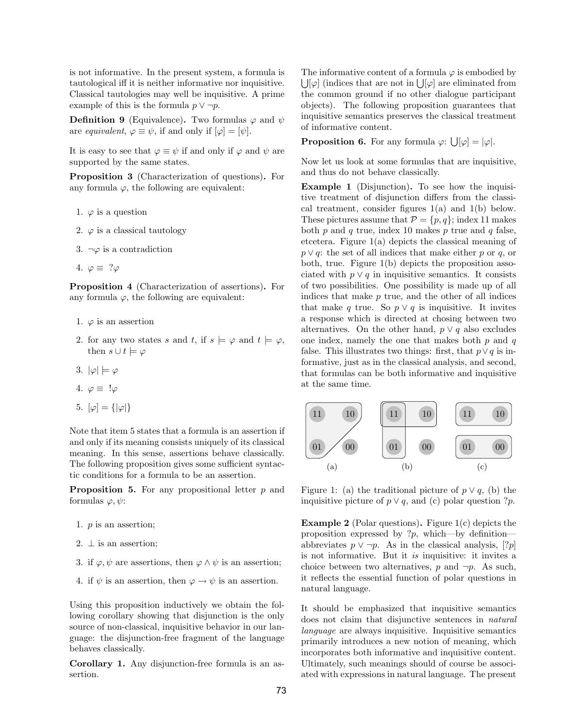is not informative. In the present system, a formula is tautological iff it is neither informative nor inquisitive. Classical tautologies may well be inquisitive. A prime example of this is the formula  $p \vee \neg p$ .

**Definition 9** (Equivalence). Two formulas  $\varphi$  and  $\psi$ are equivalent,  $\varphi \equiv \psi$ , if and only if  $[\varphi] = [\psi]$ .

It is easy to see that  $\varphi \equiv \psi$  if and only if  $\varphi$  and  $\psi$  are supported by the same states.

Proposition 3 (Characterization of questions). For any formula  $\varphi$ , the following are equivalent:

- 1.  $\varphi$  is a question
- 2.  $\varphi$  is a classical tautology
- 3.  $\neg \varphi$  is a contradiction
- 4.  $\varphi \equiv ?\varphi$

Proposition 4 (Characterization of assertions). For any formula  $\varphi$ , the following are equivalent:

- 1.  $\varphi$  is an assertion
- 2. for any two states s and t, if  $s \models \varphi$  and  $t \models \varphi$ , then  $s \cup t \models \varphi$
- 3.  $|\varphi| \models \varphi$
- 4.  $\varphi \equiv \frac{1}{\varphi}$
- 5.  $[\varphi] = {\{|\varphi|\}}$

Note that item 5 states that a formula is an assertion if and only if its meaning consists uniquely of its classical meaning. In this sense, assertions behave classically. The following proposition gives some sufficient syntactic conditions for a formula to be an assertion.

**Proposition 5.** For any propositional letter  $p$  and formulas  $\varphi, \psi$ :

- 1. p is an assertion;
- 2.  $\perp$  is an assertion;
- 3. if  $\varphi, \psi$  are assertions, then  $\varphi \wedge \psi$  is an assertion;
- 4. if  $\psi$  is an assertion, then  $\varphi \to \psi$  is an assertion.

Using this proposition inductively we obtain the following corollary showing that disjunction is the only source of non-classical, inquisitive behavior in our language: the disjunction-free fragment of the language behaves classically.

Corollary 1. Any disjunction-free formula is an assertion.

The informative content of a formula  $\varphi$  is embodied by  $\bigcup[\varphi]$  (indices that are not in  $\bigcup[\varphi]$  are eliminated from the common ground if no other dialogue participant objects). The following proposition guarantees that inquisitive semantics preserves the classical treatment of informative content.

**Proposition 6.** For any formula  $\varphi: \bigcup [\varphi] = |\varphi|$ .

Now let us look at some formulas that are inquisitive, and thus do not behave classically.

Example 1 (Disjunction). To see how the inquisitive treatment of disjunction differs from the classical treatment, consider figures 1(a) and 1(b) below. These pictures assume that  $P = \{p, q\}$ ; index 11 makes both  $p$  and  $q$  true, index 10 makes  $p$  true and  $q$  false, etcetera. Figure 1(a) depicts the classical meaning of  $p \vee q$ : the set of all indices that make either p or q, or both, true. Figure 1(b) depicts the proposition associated with  $p \vee q$  in inquisitive semantics. It consists of two possibilities. One possibility is made up of all indices that make  $p$  true, and the other of all indices that make q true. So  $p \vee q$  is inquisitive. It invites a response which is directed at chosing between two alternatives. On the other hand,  $p \vee q$  also excludes one index, namely the one that makes both  $p$  and  $q$ false. This illustrates two things: first, that  $p \vee q$  is informative, just as in the classical analysis, and second, that formulas can be both informative and inquisitive at the same time.



Figure 1: (a) the traditional picture of  $p \vee q$ , (b) the inquisitive picture of  $p \vee q$ , and (c) polar question ?*p*.

Example 2 (Polar questions). Figure 1(c) depicts the proposition expressed by  $?p$ , which—by definition abbreviates  $p \vee \neg p$ . As in the classical analysis, [?p] is not informative. But it is inquisitive: it invites a choice between two alternatives,  $p$  and  $\neg p$ . As such, it reflects the essential function of polar questions in natural language.

It should be emphasized that inquisitive semantics does not claim that disjunctive sentences in natural language are always inquisitive. Inquisitive semantics primarily introduces a new notion of meaning, which incorporates both informative and inquisitive content. Ultimately, such meanings should of course be associated with expressions in natural language. The present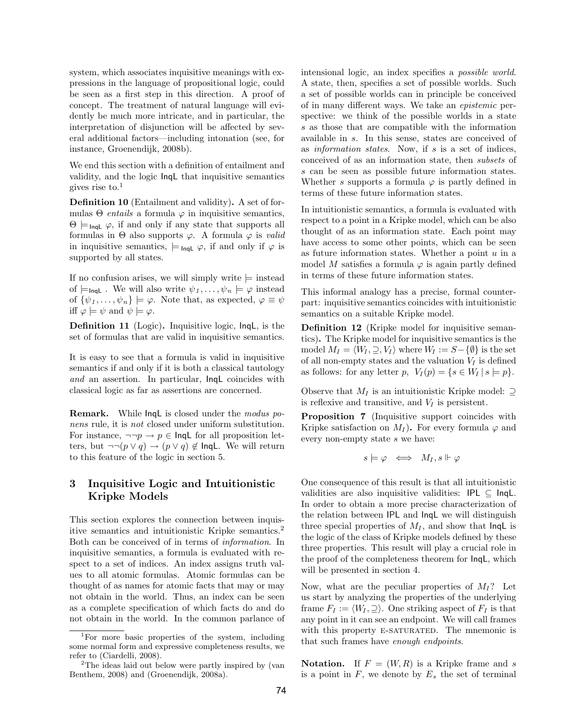system, which associates inquisitive meanings with expressions in the language of propositional logic, could be seen as a first step in this direction. A proof of concept. The treatment of natural language will evidently be much more intricate, and in particular, the interpretation of disjunction will be affected by several additional factors—including intonation (see, for instance, Groenendijk, 2008b).

We end this section with a definition of entailment and validity, and the logic InqL that inquisitive semantics gives rise to.<sup>1</sup>

Definition 10 (Entailment and validity). A set of formulas  $\Theta$  *entails* a formula  $\varphi$  in inquisitive semantics,  $\Theta \models_{\text{Ind}} \varphi$ , if and only if any state that supports all formulas in  $\Theta$  also supports  $\varphi$ . A formula  $\varphi$  is valid in inquisitive semantics,  $\models_{\mathsf{InqL}} \varphi$ , if and only if  $\varphi$  is supported by all states.

If no confusion arises, we will simply write  $\models$  instead of  $\models_{\mathsf{Inql}}$ . We will also write  $\psi_1, \ldots, \psi_n \models \varphi$  instead of  $\{\psi_1, \ldots, \psi_n\} \models \varphi$ . Note that, as expected,  $\varphi \equiv \psi$ iff  $\varphi \models \psi$  and  $\psi \models \varphi$ .

Definition 11 (Logic). Inquisitive logic, InqL, is the set of formulas that are valid in inquisitive semantics.

It is easy to see that a formula is valid in inquisitive semantics if and only if it is both a classical tautology and an assertion. In particular, InqL coincides with classical logic as far as assertions are concerned.

**Remark.** While lnqL is closed under the *modus po*nens rule, it is not closed under uniform substitution. For instance,  $\neg\neg p \rightarrow p \in \text{Inql}$  for all proposition letters, but  $\neg\neg(p \lor q) \rightarrow (p \lor q) \notin \text{Inql. We will return}$ to this feature of the logic in section 5.

## 3 Inquisitive Logic and Intuitionistic Kripke Models

This section explores the connection between inquisitive semantics and intuitionistic Kripke semantics.<sup>2</sup> Both can be conceived of in terms of information. In inquisitive semantics, a formula is evaluated with respect to a set of indices. An index assigns truth values to all atomic formulas. Atomic formulas can be thought of as names for atomic facts that may or may not obtain in the world. Thus, an index can be seen as a complete specification of which facts do and do not obtain in the world. In the common parlance of intensional logic, an index specifies a possible world. A state, then, specifies a set of possible worlds. Such a set of possible worlds can in principle be conceived of in many different ways. We take an epistemic perspective: we think of the possible worlds in a state s as those that are compatible with the information available in s. In this sense, states are conceived of as information states. Now, if s is a set of indices, conceived of as an information state, then subsets of s can be seen as possible future information states. Whether s supports a formula  $\varphi$  is partly defined in terms of these future information states.

In intuitionistic semantics, a formula is evaluated with respect to a point in a Kripke model, which can be also thought of as an information state. Each point may have access to some other points, which can be seen as future information states. Whether a point  $u$  in a model M satisfies a formula  $\varphi$  is again partly defined in terms of these future information states.

This informal analogy has a precise, formal counterpart: inquisitive semantics coincides with intuitionistic semantics on a suitable Kripke model.

Definition 12 (Kripke model for inquisitive semantics). The Kripke model for inquisitive semantics is the model  $M_I = \langle W_I, \supseteq, V_I \rangle$  where  $W_I := S - \{\emptyset\}$  is the set of all non-empty states and the valuation  $V_I$  is defined as follows: for any letter p,  $V_I(p) = \{s \in W_I | s \models p\}.$ 

Observe that  $M_I$  is an intuitionistic Kripke model:  $\supseteq$ is reflexive and transitive, and  $V_I$  is persistent.

Proposition 7 (Inquisitive support coincides with Kripke satisfaction on  $M_I$ ). For every formula  $\varphi$  and every non-empty state s we have:

$$
s \models \varphi \iff M_I, s \Vdash \varphi
$$

One consequence of this result is that all intuitionistic validities are also inquisitive validities:  $IPL \subseteq InqL$ . In order to obtain a more precise characterization of the relation between IPL and InqL we will distinguish three special properties of  $M_I$ , and show that  $\text{Inql}$  is the logic of the class of Kripke models defined by these three properties. This result will play a crucial role in the proof of the completeness theorem for InqL, which will be presented in section 4.

Now, what are the peculiar properties of  $M_I$ ? Let us start by analyzing the properties of the underlying frame  $F_I := \langle W_I, \supseteq \rangle$ . One striking aspect of  $F_I$  is that any point in it can see an endpoint. We will call frames with this property E-SATURATED. The mnemonic is that such frames have enough endpoints.

**Notation.** If  $F = (W, R)$  is a Kripke frame and s is a point in  $F$ , we denote by  $E<sub>s</sub>$  the set of terminal

<sup>&</sup>lt;sup>1</sup>For more basic properties of the system, including some normal form and expressive completeness results, we refer to (Ciardelli, 2008).

<sup>2</sup>The ideas laid out below were partly inspired by (van Benthem, 2008) and (Groenendijk, 2008a).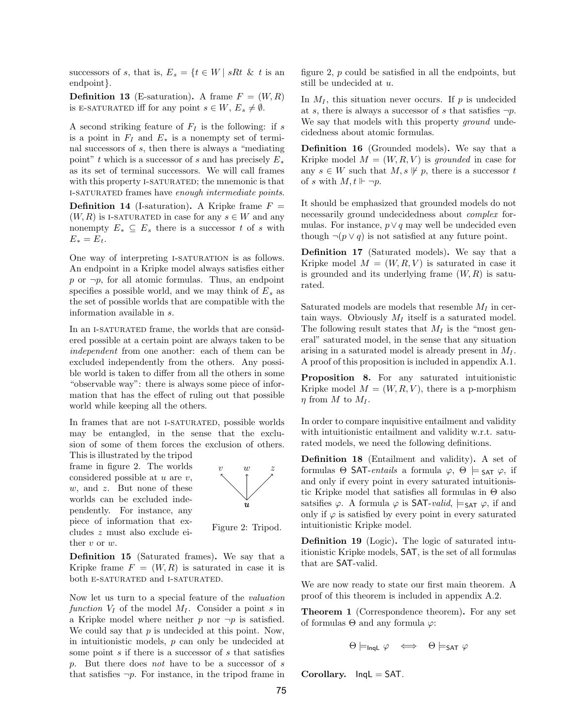successors of s, that is,  $E_s = \{t \in W \mid sRt \& t \text{ is an }$ endpoint}.

**Definition 13** (E-saturation). A frame  $F = (W, R)$ is E-SATURATED iff for any point  $s \in W$ ,  $E_s \neq \emptyset$ .

A second striking feature of  $F_I$  is the following: if s is a point in  $F_I$  and  $E_*$  is a nonempty set of terminal successors of s, then there is always a "mediating point" t which is a successor of s and has precisely  $E_*$ as its set of terminal successors. We will call frames with this property I-SATURATED; the mnemonic is that i-saturated frames have enough intermediate points.

**Definition 14** (I-saturation). A Kripke frame  $F =$  $(W, R)$  is I-SATURATED in case for any  $s \in W$  and any nonempty  $E_* \subseteq E_s$  there is a successor t of s with  $E_* = E_t$ .

One way of interpreting I-SATURATION is as follows. An endpoint in a Kripke model always satisfies either  $p \text{ or } \neg p$ , for all atomic formulas. Thus, an endpoint specifies a possible world, and we may think of  $E_s$  as the set of possible worlds that are compatible with the information available in s.

In an I-SATURATED frame, the worlds that are considered possible at a certain point are always taken to be independent from one another: each of them can be excluded independently from the others. Any possible world is taken to differ from all the others in some "observable way": there is always some piece of information that has the effect of ruling out that possible world while keeping all the others.

In frames that are not I-SATURATED, possible worlds may be entangled, in the sense that the exclusion of some of them forces the exclusion of others.

This is illustrated by the tripod frame in figure 2. The worlds considered possible at  $u$  are  $v$ ,  $w$ , and  $z$ . But none of these worlds can be excluded independently. For instance, any piece of information that excludes z must also exclude either  $v$  or  $w$ .



Figure 2: Tripod.

Definition 15 (Saturated frames). We say that a Kripke frame  $F = (W, R)$  is saturated in case it is both e-saturated and i-saturated.

Now let us turn to a special feature of the valuation function  $V_I$  of the model  $M_I$ . Consider a point s in a Kripke model where neither p nor  $\neg p$  is satisfied. We could say that  $p$  is undecided at this point. Now, in intuitionistic models, p can only be undecided at some point s if there is a successor of s that satisfies p. But there does not have to be a successor of s that satisfies  $\neg p$ . For instance, in the tripod frame in

figure 2, p could be satisfied in all the endpoints, but still be undecided at u.

In  $M_I$ , this situation never occurs. If p is undecided at s, there is always a successor of s that satisfies  $\neg p$ . We say that models with this property *ground* undecidedness about atomic formulas.

Definition 16 (Grounded models). We say that a Kripke model  $M = (W, R, V)$  is grounded in case for any  $s \in W$  such that  $M, s \not\models p$ , there is a successor t of s with  $M, t \Vdash \neg p$ .

It should be emphasized that grounded models do not necessarily ground undecidedness about complex formulas. For instance,  $p \vee q$  may well be undecided even though  $\neg(p \lor q)$  is not satisfied at any future point.

Definition 17 (Saturated models). We say that a Kripke model  $M = (W, R, V)$  is saturated in case it is grounded and its underlying frame  $(W, R)$  is saturated.

Saturated models are models that resemble  $M_I$  in certain ways. Obviously  $M_I$  itself is a saturated model. The following result states that  $M_I$  is the "most general" saturated model, in the sense that any situation arising in a saturated model is already present in  $M_I$ . A proof of this proposition is included in appendix A.1.

Proposition 8. For any saturated intuitionistic Kripke model  $M = (W, R, V)$ , there is a p-morphism  $\eta$  from M to  $M_I$ .

In order to compare inquisitive entailment and validity with intuitionistic entailment and validity w.r.t. saturated models, we need the following definitions.

Definition 18 (Entailment and validity). A set of formulas  $\Theta$  SAT-*entails* a formula  $\varphi$ ,  $\Theta$   $\models$  <sub>SAT</sub>  $\varphi$ , if and only if every point in every saturated intuitionistic Kripke model that satisfies all formulas in  $\Theta$  also satsifies  $\varphi$ . A formula  $\varphi$  is SAT-valid,  $\models_{SAT} \varphi$ , if and only if  $\varphi$  is satisfied by every point in every saturated intuitionistic Kripke model.

Definition 19 (Logic). The logic of saturated intuitionistic Kripke models, SAT, is the set of all formulas that are SAT-valid.

We are now ready to state our first main theorem. A proof of this theorem is included in appendix A.2.

Theorem 1 (Correspondence theorem). For any set of formulas  $\Theta$  and any formula  $\varphi$ :

 $\Theta \models_{\textsf{Inql}} \varphi \iff \Theta \models_{\textsf{SAT}} \varphi$ 

Corollary.  $InqL = SAT$ .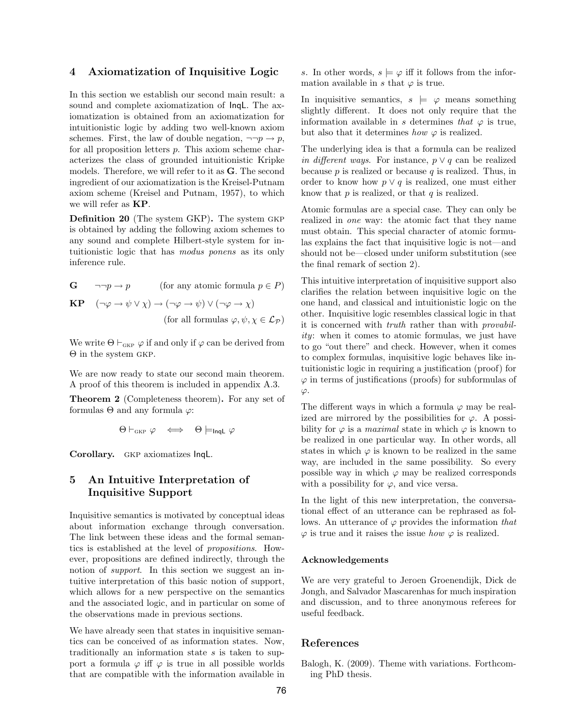## 4 Axiomatization of Inquisitive Logic

In this section we establish our second main result: a sound and complete axiomatization of InqL. The axiomatization is obtained from an axiomatization for intuitionistic logic by adding two well-known axiom schemes. First, the law of double negation,  $\neg \neg p \rightarrow p$ , for all proposition letters  $p$ . This axiom scheme characterizes the class of grounded intuitionistic Kripke models. Therefore, we will refer to it as G. The second ingredient of our axiomatization is the Kreisel-Putnam axiom scheme (Kreisel and Putnam, 1957), to which we will refer as KP.

Definition 20 (The system GKP). The system GKP is obtained by adding the following axiom schemes to any sound and complete Hilbert-style system for intuitionistic logic that has modus ponens as its only inference rule.

**G** 
$$
\neg\neg p \rightarrow p
$$
 (for any atomic formula  $p \in P$ )  
\n**KP**  $(\neg \varphi \rightarrow \psi \lor \chi) \rightarrow (\neg \varphi \rightarrow \psi) \lor (\neg \varphi \rightarrow \chi)$   
\n(for all formulas  $\varphi, \psi, \chi \in \mathcal{L}_{\mathcal{P}}$ )

We write  $\Theta \vdash_{GKP} \varphi$  if and only if  $\varphi$  can be derived from Θ in the system gkp.

We are now ready to state our second main theorem. A proof of this theorem is included in appendix A.3.

Theorem 2 (Completeness theorem). For any set of formulas  $\Theta$  and any formula  $\varphi$ :

$$
\Theta \vdash_{\mathsf{GKP}} \varphi \iff \Theta \models_{\mathsf{InqL}} \varphi
$$

Corollary. GKP axiomatizes InqL.

## 5 An Intuitive Interpretation of Inquisitive Support

Inquisitive semantics is motivated by conceptual ideas about information exchange through conversation. The link between these ideas and the formal semantics is established at the level of propositions. However, propositions are defined indirectly, through the notion of support. In this section we suggest an intuitive interpretation of this basic notion of support, which allows for a new perspective on the semantics and the associated logic, and in particular on some of the observations made in previous sections.

We have already seen that states in inquisitive semantics can be conceived of as information states. Now, traditionally an information state s is taken to support a formula  $\varphi$  iff  $\varphi$  is true in all possible worlds that are compatible with the information available in s. In other words,  $s \models \varphi$  iff it follows from the information available in s that  $\varphi$  is true.

In inquisitive semantics,  $s \models \varphi$  means something slightly different. It does not only require that the information available in s determines that  $\varphi$  is true, but also that it determines how  $\varphi$  is realized.

The underlying idea is that a formula can be realized in different ways. For instance,  $p \vee q$  can be realized because  $p$  is realized or because  $q$  is realized. Thus, in order to know how  $p \vee q$  is realized, one must either know that  $p$  is realized, or that  $q$  is realized.

Atomic formulas are a special case. They can only be realized in one way: the atomic fact that they name must obtain. This special character of atomic formulas explains the fact that inquisitive logic is not—and should not be—closed under uniform substitution (see the final remark of section 2).

This intuitive interpretation of inquisitive support also clarifies the relation between inquisitive logic on the one hand, and classical and intuitionistic logic on the other. Inquisitive logic resembles classical logic in that it is concerned with truth rather than with provability: when it comes to atomic formulas, we just have to go "out there" and check. However, when it comes to complex formulas, inquisitive logic behaves like intuitionistic logic in requiring a justification (proof) for  $\varphi$  in terms of justifications (proofs) for subformulas of  $\varphi.$ 

The different ways in which a formula  $\varphi$  may be realized are mirrored by the possibilities for  $\varphi$ . A possibility for  $\varphi$  is a maximal state in which  $\varphi$  is known to be realized in one particular way. In other words, all states in which  $\varphi$  is known to be realized in the same way, are included in the same possibility. So every possible way in which  $\varphi$  may be realized corresponds with a possibility for  $\varphi$ , and vice versa.

In the light of this new interpretation, the conversational effect of an utterance can be rephrased as follows. An utterance of  $\varphi$  provides the information that  $\varphi$  is true and it raises the issue *how*  $\varphi$  is realized.

### Acknowledgements

We are very grateful to Jeroen Groenendijk, Dick de Jongh, and Salvador Mascarenhas for much inspiration and discussion, and to three anonymous referees for useful feedback.

## References

Balogh, K. (2009). Theme with variations. Forthcoming PhD thesis.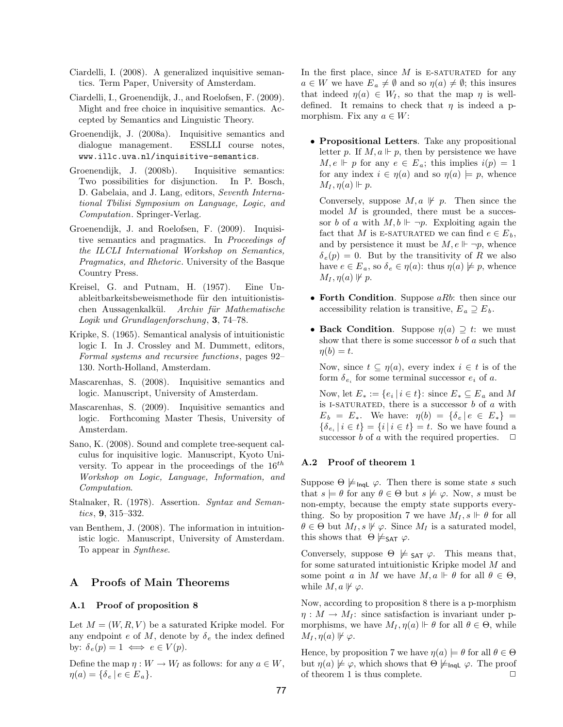- Ciardelli, I. (2008). A generalized inquisitive semantics. Term Paper, University of Amsterdam.
- Ciardelli, I., Groenendijk, J., and Roelofsen, F. (2009). Might and free choice in inquisitive semantics. Accepted by Semantics and Linguistic Theory.
- Groenendijk, J. (2008a). Inquisitive semantics and dialogue management. ESSLLI course notes, www.illc.uva.nl/inquisitive-semantics.
- Groenendijk, J. (2008b). Inquisitive semantics: Two possibilities for disjunction. In P. Bosch, D. Gabelaia, and J. Lang, editors, Seventh International Tbilisi Symposium on Language, Logic, and Computation. Springer-Verlag.
- Groenendijk, J. and Roelofsen, F. (2009). Inquisitive semantics and pragmatics. In Proceedings of the ILCLI International Workshop on Semantics, Pragmatics, and Rhetoric. University of the Basque Country Press.
- Kreisel, G. and Putnam, H. (1957). Eine Unableitbarkeitsbeweismethode für den intuitionistischen Aussagenkalkül. Archiv für Mathematische Logik und Grundlagenforschung, 3, 74–78.
- Kripke, S. (1965). Semantical analysis of intuitionistic logic I. In J. Crossley and M. Dummett, editors, Formal systems and recursive functions, pages 92– 130. North-Holland, Amsterdam.
- Mascarenhas, S. (2008). Inquisitive semantics and logic. Manuscript, University of Amsterdam.
- Mascarenhas, S. (2009). Inquisitive semantics and logic. Forthcoming Master Thesis, University of Amsterdam.
- Sano, K. (2008). Sound and complete tree-sequent calculus for inquisitive logic. Manuscript, Kyoto University. To appear in the proceedings of the  $16^{th}$ Workshop on Logic, Language, Information, and Computation.
- Stalnaker, R. (1978). Assertion. Syntax and Semantics, 9, 315–332.
- van Benthem, J. (2008). The information in intuitionistic logic. Manuscript, University of Amsterdam. To appear in Synthese.

## A Proofs of Main Theorems

## A.1 Proof of proposition 8

Let  $M = (W, R, V)$  be a saturated Kripke model. For any endpoint  $e$  of  $M$ , denote by  $\delta_e$  the index defined by:  $\delta_e(p) = 1 \iff e \in V(p)$ .

Define the map  $\eta: W \to W_I$  as follows: for any  $a \in W$ ,  $\eta(a) = \{\delta_e \mid e \in E_a\}.$ 

In the first place, since  $M$  is E-SATURATED for any  $a \in W$  we have  $E_a \neq \emptyset$  and so  $\eta(a) \neq \emptyset$ ; this insures that indeed  $\eta(a) \in W_I$ , so that the map  $\eta$  is welldefined. It remains to check that  $\eta$  is indeed a pmorphism. Fix any  $a \in W$ :

• Propositional Letters. Take any propositional letter p. If  $M, a \Vdash p$ , then by persistence we have  $M, e \Vdash p$  for any  $e \in E_a$ ; this implies  $i(p) = 1$ for any index  $i \in \eta(a)$  and so  $\eta(a) \models p$ , whence  $M_I, \eta(a) \Vdash p.$ 

Conversely, suppose  $M, a \not\models p$ . Then since the model  $M$  is grounded, there must be a successor b of a with  $M, b \Vdash \neg p$ . Exploiting again the fact that M is E-SATURATED we can find  $e \in E_b$ , and by persistence it must be  $M, e \Vdash \neg p$ , whence  $\delta_e(p) = 0$ . But by the transitivity of R we also have  $e \in E_a$ , so  $\delta_e \in \eta(a)$ : thus  $\eta(a) \not\models p$ , whence  $M_I, \eta(a) \not\Vdash p.$ 

- Forth Condition. Suppose  $aRb$ : then since our accessibility relation is transitive,  $E_a \supseteq E_b$ .
- Back Condition. Suppose  $\eta(a) \supseteq t$ : we must show that there is some successor  $b$  of  $a$  such that  $\eta(b) = t.$

Now, since  $t \subseteq \eta(a)$ , every index  $i \in t$  is of the form  $\delta_{e_i}$  for some terminal successor  $e_i$  of a.

Now, let  $E_* := \{e_i \mid i \in t\}$ : since  $E_* \subseteq E_a$  and M is I-SATURATED, there is a successor  $b$  of  $a$  with  $E_b = E_*$ . We have:  $\eta(b) = \{\delta_e | e \in E_*\}$  $\{\delta_{e_i} | i \in t\} = \{i | i \in t\} = t$ . So we have found a successor b of a with the required properties.  $\Box$ 

#### A.2 Proof of theorem 1

Suppose  $\Theta \not\models_{\mathsf{Inql}} \varphi$ . Then there is some state s such that  $s \models \theta$  for any  $\theta \in \Theta$  but  $s \not\models \varphi$ . Now, s must be non-empty, because the empty state supports everything. So by proposition 7 we have  $M_I, s \Vdash \theta$  for all  $\theta \in \Theta$  but  $M_I, s \not\models \varphi$ . Since  $M_I$  is a saturated model, this shows that  $\Theta \not\models_{\mathsf{SAT}} \varphi$ .

Conversely, suppose  $\Theta \not\models s_{AT} \varphi$ . This means that, for some saturated intuitionistic Kripke model M and some point a in M we have  $M, a \Vdash \theta$  for all  $\theta \in \Theta$ , while  $M, a \not\Vdash \varphi$ .

Now, according to proposition 8 there is a p-morphism  $\eta: M \to M_I$ : since satisfaction is invariant under pmorphisms, we have  $M_I, \eta(a) \Vdash \theta$  for all  $\theta \in \Theta$ , while  $M_I, \eta(a) \not\Vdash \varphi.$ 

Hence, by proposition 7 we have  $\eta(a) \models \theta$  for all  $\theta \in \Theta$ but  $\eta(a) \not\models \varphi$ , which shows that  $\Theta \not\models_{\text{IndL}} \varphi$ . The proof of theorem 1 is thus complete.  $\Box$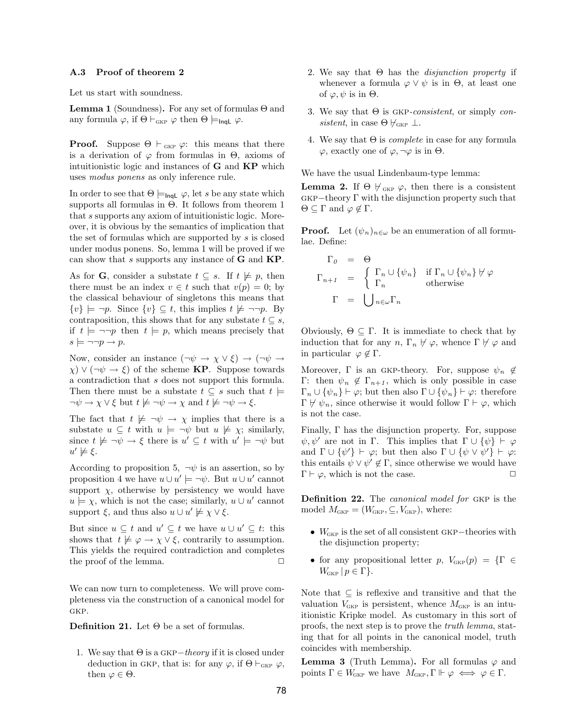#### A.3 Proof of theorem 2

Let us start with soundness.

**Lemma 1** (Soundness). For any set of formulas  $\Theta$  and any formula  $\varphi$ , if  $\Theta \vdash_{GKP} \varphi$  then  $\Theta \models_{\mathsf{Inql}} \varphi$ .

**Proof.** Suppose  $\Theta \vdash_{GKP} \varphi$ : this means that there is a derivation of  $\varphi$  from formulas in  $\Theta$ , axioms of intuitionistic logic and instances of G and KP which uses modus ponens as only inference rule.

In order to see that  $\Theta \models_{\mathsf{Inql}} \varphi$ , let s be any state which supports all formulas in  $\Theta$ . It follows from theorem 1 that s supports any axiom of intuitionistic logic. Moreover, it is obvious by the semantics of implication that the set of formulas which are supported by  $s$  is closed under modus ponens. So, lemma 1 will be proved if we can show that s supports any instance of G and KP.

As for **G**, consider a substate  $t \subseteq s$ . If  $t \not\models p$ , then there must be an index  $v \in t$  such that  $v(p) = 0$ ; by the classical behaviour of singletons this means that  $\{v\} \models \neg p$ . Since  $\{v\} \subseteq t$ , this implies  $t \not\models \neg \neg p$ . By contraposition, this shows that for any substate  $t \subset s$ , if  $t \models \neg \neg p$  then  $t \models p$ , which means precisely that  $s \models \neg \neg p \rightarrow p.$ 

Now, consider an instance  $(\neg \psi \rightarrow \chi \lor \xi) \rightarrow (\neg \psi \rightarrow \chi \circ \psi)$  $(\chi) \vee (\neg \psi \rightarrow \xi)$  of the scheme **KP**. Suppose towards a contradiction that s does not support this formula. Then there must be a substate  $t \subseteq s$  such that  $t \models$  $\neg \psi \to \chi \vee \xi$  but  $t \not\models \neg \psi \to \chi$  and  $t \not\models \neg \psi \to \xi$ .

The fact that  $t \not\models \neg \psi \rightarrow \chi$  implies that there is a substate  $u \subseteq t$  with  $u \models \neg \psi$  but  $u \not\models \chi$ ; similarly, since  $t \not\models \neg \psi \rightarrow \xi$  there is  $u' \subseteq t$  with  $u' \models \neg \psi$  but  $u' \not\models \xi$ .

According to proposition 5,  $\neg \psi$  is an assertion, so by proposition 4 we have  $u \cup u' \models \neg \psi$ . But  $u \cup u'$  cannot support  $\chi$ , otherwise by persistency we would have  $u \models \chi$ , which is not the case; similarly,  $u \cup u'$  cannot support  $\xi$ , and thus also  $u \cup u' \not\models \chi \vee \xi$ .

But since  $u \subseteq t$  and  $u' \subseteq t$  we have  $u \cup u' \subseteq t$ : this shows that  $t \not\models \varphi \rightarrow \chi \vee \xi$ , contrarily to assumption. This yields the required contradiction and completes the proof of the lemma.  $\Box$ 

We can now turn to completeness. We will prove completeness via the construction of a canonical model for gkp.

Definition 21. Let  $\Theta$  be a set of formulas.

1. We say that  $\Theta$  is a GKP $-theory$  if it is closed under deduction in GKP, that is: for any  $\varphi$ , if  $\Theta \vdash_{GKP} \varphi$ , then  $\varphi \in \Theta$ .

- 2. We say that  $\Theta$  has the *disjunction property* if whenever a formula  $\varphi \vee \psi$  is in  $\Theta$ , at least one of  $\varphi, \psi$  is in  $\Theta$ .
- 3. We say that  $\Theta$  is GKP-consistent, or simply consistent, in case  $\Theta \not\vdash_{\text{GKP}} \bot$ .
- 4. We say that  $\Theta$  is *complete* in case for any formula  $\varphi$ , exactly one of  $\varphi, \neg \varphi$  is in  $\Theta$ .

We have the usual Lindenbaum-type lemma:

**Lemma 2.** If  $\Theta \not\vdash_{\text{GKP}} \varphi$ , then there is a consistent  $GKP-theory \Gamma$  with the disjunction property such that  $\Theta \subseteq \Gamma$  and  $\varphi \notin \Gamma$ .

**Proof.** Let  $(\psi_n)_{n \in \omega}$  be an enumeration of all formulae. Define:

$$
\Gamma_0 = \Theta
$$
\n
$$
\Gamma_{n+1} = \begin{cases}\n\Gamma_n \cup {\psi_n} & \text{if } \Gamma_n \cup {\psi_n} \nvdash \varphi \\
\Gamma_n & \text{otherwise}\n\end{cases}
$$
\n
$$
\Gamma = \bigcup_{n \in \omega} \Gamma_n
$$

Obviously, Θ ⊆ Γ. It is immediate to check that by induction that for any  $n, \Gamma_n \not\vdash \varphi$ , whence  $\Gamma \not\vdash \varphi$  and in particular  $\varphi \notin \Gamma$ .

Moreover,  $\Gamma$  is an GKP-theory. For, suppose  $\psi_n \notin$ Γ: then  $\psi_n \notin \Gamma_{n+1}$ , which is only possible in case  $\Gamma_n \cup {\psi_n} \vdash \varphi$ ; but then also  $\Gamma \cup {\psi_n} \vdash \varphi$ : therefore Γ  $\forall$   $\psi_n$ , since otherwise it would follow Γ  $\vdash \varphi$ , which is not the case.

Finally, Γ has the disjunction property. For, suppose  $\psi, \psi'$  are not in Γ. This implies that  $\Gamma \cup {\psi} \vdash \varphi$ and  $\Gamma \cup {\psi'}$   $\vdash \varphi$ ; but then also  $\Gamma \cup {\psi \vee \psi'}$   $\vdash \varphi$ : this entails  $\psi \vee \psi' \notin \Gamma$ , since otherwise we would have  $\Gamma \vdash \varphi$ , which is not the case.  $\Box$ 

Definition 22. The *canonical model for* GKP is the model  $M_{\text{GKP}} = (W_{\text{GKP}}, \subseteq, V_{\text{GKP}})$ , where:

- $W_{GKP}$  is the set of all consistent GKP−theories with the disjunction property;
- for any propositional letter p,  $V_{GKP}(p) = \{\Gamma \in$  $W_{\text{GKP}} | p \in \Gamma$ .

Note that  $\subseteq$  is reflexive and transitive and that the valuation  $V_{\text{GKP}}$  is persistent, whence  $M_{\text{GKP}}$  is an intuitionistic Kripke model. As customary in this sort of proofs, the next step is to prove the truth lemma, stating that for all points in the canonical model, truth coincides with membership.

**Lemma 3** (Truth Lemma). For all formulas  $\varphi$  and points  $\Gamma \in W_{\text{GKP}}$  we have  $M_{\text{GKP}}, \Gamma \Vdash \varphi \iff \varphi \in \Gamma$ .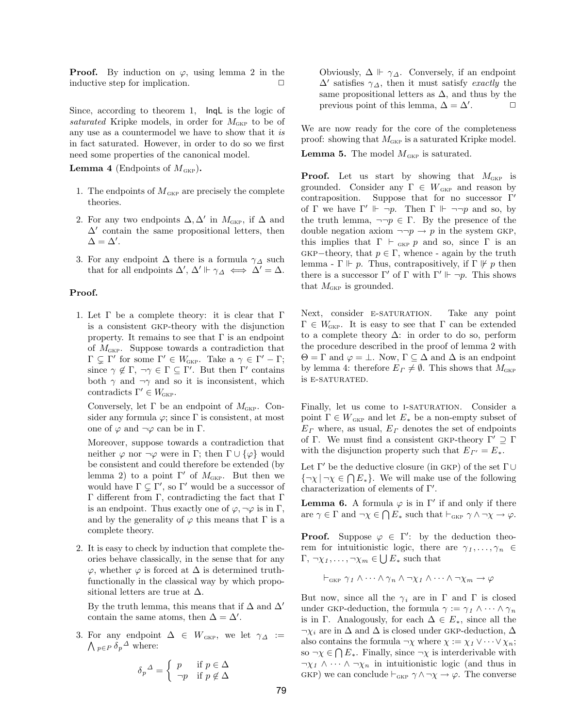**Proof.** By induction on  $\varphi$ , using lemma 2 in the inductive step for implication.  $\Box$ 

Since, according to theorem 1, InqL is the logic of saturated Kripke models, in order for  $M_{\text{GKP}}$  to be of any use as a countermodel we have to show that it is in fact saturated. However, in order to do so we first need some properties of the canonical model.

**Lemma 4** (Endpoints of  $M_{GKP}$ ).

- 1. The endpoints of  $M_{GKP}$  are precisely the complete theories.
- 2. For any two endpoints  $\Delta, \Delta'$  in  $M_{GKP}$ , if  $\Delta$  and  $\Delta'$  contain the same propositional letters, then  $\Delta = \Delta'$ .
- 3. For any endpoint  $\Delta$  there is a formula  $\gamma_{\Delta}$  such that for all endpoints  $\Delta'$ ,  $\Delta' \Vdash \gamma_{\Delta} \iff \Delta' = \Delta$ .

### Proof.

1. Let Γ be a complete theory: it is clear that Γ is a consistent gkp-theory with the disjunction property. It remains to see that  $\Gamma$  is an endpoint of  $M_{\text{GKP}}$ . Suppose towards a contradiction that  $\Gamma \subsetneq \Gamma'$  for some  $\Gamma' \in W_{GKP}$ . Take  $a \gamma \in \Gamma' - \Gamma$ ; since  $\gamma \notin \Gamma$ ,  $\neg \gamma \in \Gamma \subseteq \Gamma'$ . But then  $\Gamma'$  contains both  $\gamma$  and  $\neg \gamma$  and so it is inconsistent, which contradicts  $\Gamma' \in W_{\text{GKP}}$ .

Conversely, let  $\Gamma$  be an endpoint of  $M_{\text{GKP}}$ . Consider any formula  $\varphi$ ; since  $\Gamma$  is consistent, at most one of  $\varphi$  and  $\neg \varphi$  can be in  $\Gamma$ .

Moreover, suppose towards a contradiction that neither  $\varphi$  nor  $\neg \varphi$  were in Γ; then  $\Gamma \cup {\varphi}$  would be consistent and could therefore be extended (by lemma 2) to a point Γ' of  $M_{GKP}$ . But then we would have  $\Gamma \subsetneq \Gamma'$ , so  $\Gamma'$  would be a successor of Γ different from Γ, contradicting the fact that Γ is an endpoint. Thus exactly one of  $\varphi, \neg \varphi$  is in  $\Gamma$ , and by the generality of  $\varphi$  this means that  $\Gamma$  is a complete theory.

2. It is easy to check by induction that complete theories behave classically, in the sense that for any  $\varphi$ , whether  $\varphi$  is forced at  $\Delta$  is determined truthfunctionally in the classical way by which propositional letters are true at  $\Delta$ .

By the truth lemma, this means that if  $\Delta$  and  $\Delta'$ contain the same atoms, then  $\Delta = \Delta'$ .

3. For any endpoint  $\Delta \in W_{GKP}$ , we let  $\gamma_{\Delta} :=$  $\bigwedge_{p\in P}\delta_p^{\Delta}$  where:

$$
\delta_p^{\ \Delta} = \begin{cases} p & \text{if } p \in \Delta \\ \ \neg p & \text{if } p \notin \Delta \end{cases}
$$

Obviously,  $\Delta \Vdash \gamma_{\Delta}$ . Conversely, if an endpoint  $\Delta'$  satisfies  $\gamma_{\Delta}$ , then it must satisfy exactly the same propositional letters as  $\Delta$ , and thus by the previous point of this lemma,  $\Delta = \Delta'$ .  $\Box$ 

We are now ready for the core of the completeness proof: showing that  $M_{\text{GKP}}$  is a saturated Kripke model. **Lemma 5.** The model  $M_{GKP}$  is saturated.

**Proof.** Let us start by showing that  $M_{GKP}$  is grounded. Consider any  $\Gamma \in W_{GKP}$  and reason by contraposition. Suppose that for no successor  $\Gamma'$ of  $\Gamma$  we have  $\Gamma' \Vdash \neg p$ . Then  $\Gamma \Vdash \neg \neg p$  and so, by the truth lemma,  $\neg\neg p \in \Gamma$ . By the presence of the double negation axiom  $\neg\neg p \rightarrow p$  in the system GKP, this implies that  $\Gamma \vdash_{GKP} p$  and so, since  $\Gamma$  is an GKP−theory, that  $p \in \Gamma$ , whence - again by the truth lemma -  $\Gamma \Vdash p$ . Thus, contrapositively, if  $\Gamma \not\Vdash p$  then there is a successor  $\Gamma'$  of  $\Gamma$  with  $\Gamma' \Vdash \neg p$ . This shows that  $M_{\text{GKP}}$  is grounded.

Next, consider e-saturation. Take any point  $\Gamma \in W_{\text{cwp}}$ . It is easy to see that  $\Gamma$  can be extended to a complete theory  $\Delta$ : in order to do so, perform the procedure described in the proof of lemma 2 with  $\Theta = \Gamma$  and  $\varphi = \bot$ . Now,  $\Gamma \subseteq \Delta$  and  $\Delta$  is an endpoint by lemma 4: therefore  $E_F \neq \emptyset$ . This shows that  $M_{\text{GKP}}$ is E-SATURATED.

Finally, let us come to i-saturation. Consider a point  $\Gamma \in W_{GKP}$  and let  $E_*$  be a non-empty subset of  $E<sub>\Gamma</sub>$  where, as usual,  $E<sub>\Gamma</sub>$  denotes the set of endpoints of Γ. We must find a consistent GKP-theory  $\Gamma' \supseteq \Gamma$ with the disjunction property such that  $E_{\Gamma'} = E_*$ .

Let  $\Gamma'$  be the deductive closure (in GKP) of the set  $\Gamma \cup$  ${\lbrace \neg \chi \mid \neg \chi \in \bigcap E_* \rbrace}$ . We will make use of the following characterization of elements of  $\Gamma'$ .

**Lemma 6.** A formula  $\varphi$  is in  $\Gamma'$  if and only if there are  $\gamma \in \Gamma$  and  $\neg \chi \in \bigcap E_*$  such that  $\vdash_{GKP} \gamma \wedge \neg \chi \to \varphi$ .

**Proof.** Suppose  $\varphi \in \Gamma'$ : by the deduction theorem for intuitionistic logic, there are  $\gamma_1, \ldots, \gamma_n \in$  $\Gamma, \neg \chi_1, \ldots, \neg \chi_m \in \bigcup E_*$  such that

$$
\vdash_{\mathsf{GKP}} \gamma_1 \wedge \cdots \wedge \gamma_n \wedge \neg \chi_1 \wedge \cdots \wedge \neg \chi_m \rightarrow \varphi
$$

But now, since all the  $\gamma_i$  are in Γ and Γ is closed under GKP-deduction, the formula  $\gamma := \gamma_1 \wedge \cdots \wedge \gamma_n$ is in Γ. Analogously, for each  $\Delta \in E_*$ , since all the  $\neg \chi_i$  are in  $\Delta$  and  $\Delta$  is closed under GKP-deduction,  $\Delta$ also contains the formula  $\neg \chi$  where  $\chi := \chi_1 \vee \cdots \vee \chi_n$ ; so  $\neg \chi \in \bigcap E_*.$  Finally, since  $\neg \chi$  is interderivable with  $\neg \chi_1 \wedge \cdots \wedge \neg \chi_n$  in intuitionistic logic (and thus in GKP) we can conclude  $\vdash_{GKP} \gamma \land \neg \chi \to \varphi$ . The converse